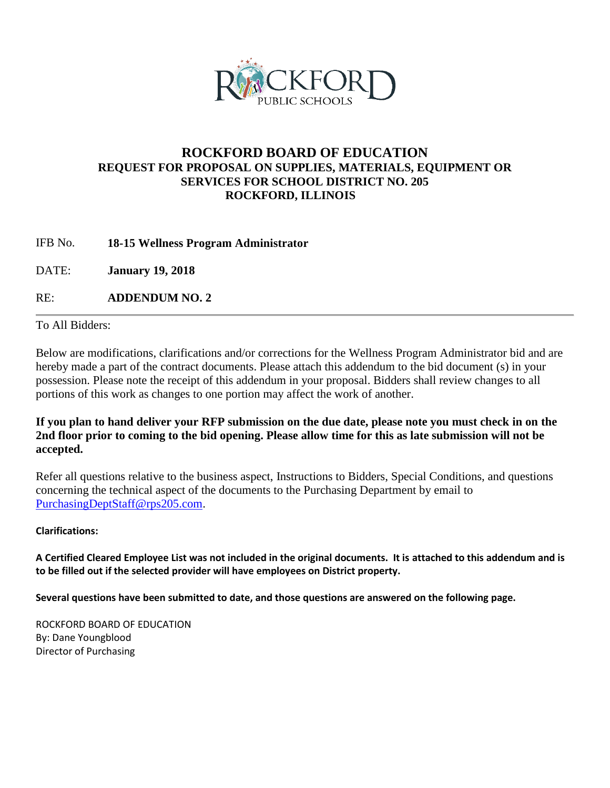

## **ROCKFORD BOARD OF EDUCATION REQUEST FOR PROPOSAL ON SUPPLIES, MATERIALS, EQUIPMENT OR SERVICES FOR SCHOOL DISTRICT NO. 205 ROCKFORD, ILLINOIS**

IFB No. **18-15 Wellness Program Administrator**

DATE: **January 19, 2018**

RE: **ADDENDUM NO. 2**

#### To All Bidders:

Below are modifications, clarifications and/or corrections for the Wellness Program Administrator bid and are hereby made a part of the contract documents. Please attach this addendum to the bid document (s) in your possession. Please note the receipt of this addendum in your proposal. Bidders shall review changes to all portions of this work as changes to one portion may affect the work of another.

**If you plan to hand deliver your RFP submission on the due date, please note you must check in on the 2nd floor prior to coming to the bid opening. Please allow time for this as late submission will not be accepted.**

Refer all questions relative to the business aspect, Instructions to Bidders, Special Conditions, and questions concerning the technical aspect of the documents to the Purchasing Department by email to [PurchasingDeptStaff@rps205.com.](mailto:PurchasingDeptStaff@rps205.com)

#### **Clarifications:**

**A Certified Cleared Employee List was not included in the original documents. It is attached to this addendum and is to be filled out if the selected provider will have employees on District property.**

**Several questions have been submitted to date, and those questions are answered on the following page.**

ROCKFORD BOARD OF EDUCATION By: Dane Youngblood Director of Purchasing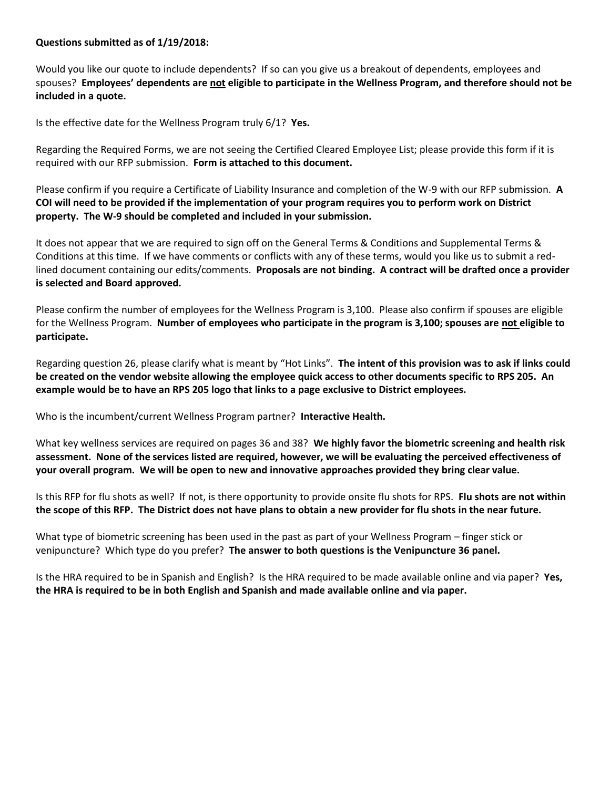#### **Questions submitted as of 1/19/2018:**

Would you like our quote to include dependents? If so can you give us a breakout of dependents, employees and spouses? **Employees' dependents are not eligible to participate in the Wellness Program, and therefore should not be included in a quote.**

Is the effective date for the Wellness Program truly 6/1? **Yes.**

Regarding the Required Forms, we are not seeing the Certified Cleared Employee List; please provide this form if it is required with our RFP submission. **Form is attached to this document.**

Please confirm if you require a Certificate of Liability Insurance and completion of the W-9 with our RFP submission. **A COI will need to be provided if the implementation of your program requires you to perform work on District property. The W-9 should be completed and included in your submission.**

It does not appear that we are required to sign off on the General Terms & Conditions and Supplemental Terms & Conditions at this time. If we have comments or conflicts with any of these terms, would you like us to submit a redlined document containing our edits/comments. **Proposals are not binding. A contract will be drafted once a provider is selected and Board approved.**

Please confirm the number of employees for the Wellness Program is 3,100. Please also confirm if spouses are eligible for the Wellness Program. **Number of employees who participate in the program is 3,100; spouses are not eligible to participate.**

Regarding question 26, please clarify what is meant by "Hot Links". **The intent of this provision was to ask if links could be created on the vendor website allowing the employee quick access to other documents specific to RPS 205. An example would be to have an RPS 205 logo that links to a page exclusive to District employees.**

Who is the incumbent/current Wellness Program partner? **Interactive Health.**

What key wellness services are required on pages 36 and 38? **We highly favor the biometric screening and health risk assessment. None of the services listed are required, however, we will be evaluating the perceived effectiveness of your overall program. We will be open to new and innovative approaches provided they bring clear value.**

Is this RFP for flu shots as well? If not, is there opportunity to provide onsite flu shots for RPS. **Flu shots are not within the scope of this RFP. The District does not have plans to obtain a new provider for flu shots in the near future.**

What type of biometric screening has been used in the past as part of your Wellness Program – finger stick or venipuncture? Which type do you prefer? **The answer to both questions is the Venipuncture 36 panel.**

Is the HRA required to be in Spanish and English? Is the HRA required to be made available online and via paper? **Yes, the HRA is required to be in both English and Spanish and made available online and via paper.**